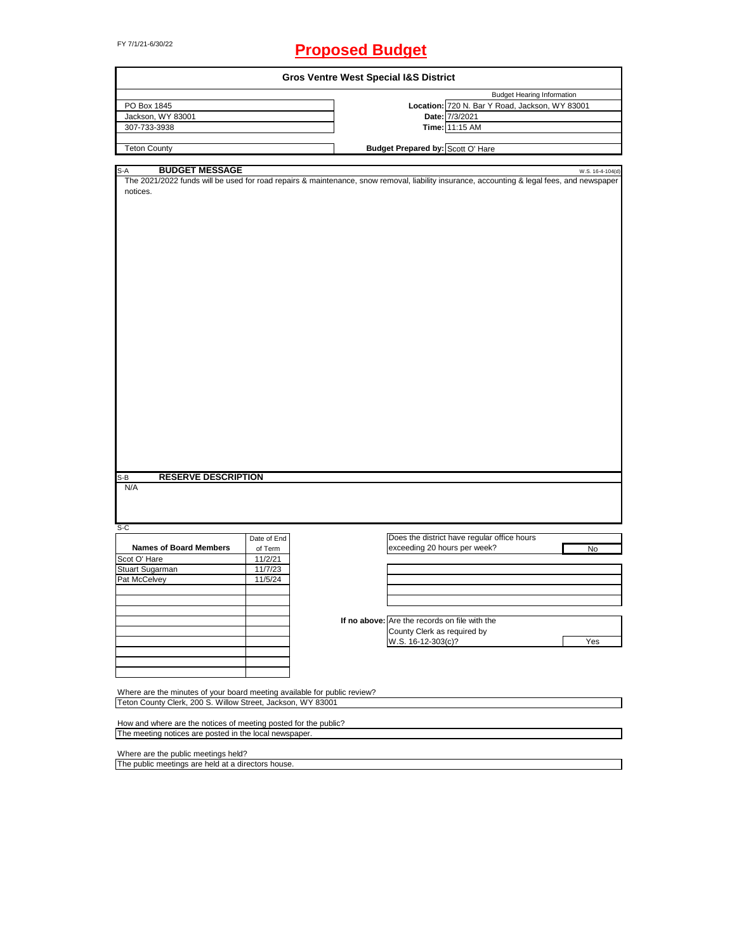# FY 7/1/21-6/30/22 **Proposed Budget**

| <b>Gros Ventre West Special I&amp;S District</b>                         |             |  |                                                                                                                                            |                  |  |  |
|--------------------------------------------------------------------------|-------------|--|--------------------------------------------------------------------------------------------------------------------------------------------|------------------|--|--|
|                                                                          |             |  | <b>Budget Hearing Information</b>                                                                                                          |                  |  |  |
| PO Box 1845                                                              |             |  | Location: 720 N. Bar Y Road, Jackson, WY 83001                                                                                             |                  |  |  |
| Jackson, WY 83001                                                        |             |  | Date: 7/3/2021                                                                                                                             |                  |  |  |
| 307-733-3938                                                             |             |  | Time: 11:15 AM                                                                                                                             |                  |  |  |
| <b>Teton County</b>                                                      |             |  | <b>Budget Prepared by: Scott O' Hare</b>                                                                                                   |                  |  |  |
|                                                                          |             |  |                                                                                                                                            |                  |  |  |
| <b>BUDGET MESSAGE</b><br>S-A                                             |             |  |                                                                                                                                            | W.S. 16-4-104(d) |  |  |
|                                                                          |             |  | The 2021/2022 funds will be used for road repairs & maintenance, snow removal, liability insurance, accounting & legal fees, and newspaper |                  |  |  |
| notices.                                                                 |             |  |                                                                                                                                            |                  |  |  |
|                                                                          |             |  |                                                                                                                                            |                  |  |  |
|                                                                          |             |  |                                                                                                                                            |                  |  |  |
|                                                                          |             |  |                                                                                                                                            |                  |  |  |
|                                                                          |             |  |                                                                                                                                            |                  |  |  |
|                                                                          |             |  |                                                                                                                                            |                  |  |  |
|                                                                          |             |  |                                                                                                                                            |                  |  |  |
|                                                                          |             |  |                                                                                                                                            |                  |  |  |
|                                                                          |             |  |                                                                                                                                            |                  |  |  |
|                                                                          |             |  |                                                                                                                                            |                  |  |  |
|                                                                          |             |  |                                                                                                                                            |                  |  |  |
|                                                                          |             |  |                                                                                                                                            |                  |  |  |
|                                                                          |             |  |                                                                                                                                            |                  |  |  |
|                                                                          |             |  |                                                                                                                                            |                  |  |  |
|                                                                          |             |  |                                                                                                                                            |                  |  |  |
|                                                                          |             |  |                                                                                                                                            |                  |  |  |
|                                                                          |             |  |                                                                                                                                            |                  |  |  |
|                                                                          |             |  |                                                                                                                                            |                  |  |  |
|                                                                          |             |  |                                                                                                                                            |                  |  |  |
|                                                                          |             |  |                                                                                                                                            |                  |  |  |
|                                                                          |             |  |                                                                                                                                            |                  |  |  |
|                                                                          |             |  |                                                                                                                                            |                  |  |  |
|                                                                          |             |  |                                                                                                                                            |                  |  |  |
|                                                                          |             |  |                                                                                                                                            |                  |  |  |
|                                                                          |             |  |                                                                                                                                            |                  |  |  |
|                                                                          |             |  |                                                                                                                                            |                  |  |  |
|                                                                          |             |  |                                                                                                                                            |                  |  |  |
|                                                                          |             |  |                                                                                                                                            |                  |  |  |
|                                                                          |             |  |                                                                                                                                            |                  |  |  |
| $S-B$<br><b>RESERVE DESCRIPTION</b>                                      |             |  |                                                                                                                                            |                  |  |  |
| N/A                                                                      |             |  |                                                                                                                                            |                  |  |  |
|                                                                          |             |  |                                                                                                                                            |                  |  |  |
|                                                                          |             |  |                                                                                                                                            |                  |  |  |
|                                                                          |             |  |                                                                                                                                            |                  |  |  |
| $S-C$                                                                    |             |  |                                                                                                                                            |                  |  |  |
|                                                                          | Date of End |  | Does the district have regular office hours                                                                                                |                  |  |  |
| <b>Names of Board Members</b>                                            | of Term     |  | exceeding 20 hours per week?                                                                                                               | <b>No</b>        |  |  |
| Scot O' Hare                                                             | 11/2/21     |  |                                                                                                                                            |                  |  |  |
| Stuart Sugarman                                                          | 11/7/23     |  |                                                                                                                                            |                  |  |  |
| Pat McCelvey                                                             | 11/5/24     |  |                                                                                                                                            |                  |  |  |
|                                                                          |             |  |                                                                                                                                            |                  |  |  |
|                                                                          |             |  |                                                                                                                                            |                  |  |  |
|                                                                          |             |  |                                                                                                                                            |                  |  |  |
|                                                                          |             |  |                                                                                                                                            |                  |  |  |
|                                                                          |             |  | If no above: Are the records on file with the                                                                                              |                  |  |  |
|                                                                          |             |  | County Clerk as required by                                                                                                                |                  |  |  |
|                                                                          |             |  | W.S. 16-12-303(c)?                                                                                                                         | Yes              |  |  |
|                                                                          |             |  |                                                                                                                                            |                  |  |  |
|                                                                          |             |  |                                                                                                                                            |                  |  |  |
|                                                                          |             |  |                                                                                                                                            |                  |  |  |
|                                                                          |             |  |                                                                                                                                            |                  |  |  |
| Where are the minutes of your board meeting available for public review? |             |  |                                                                                                                                            |                  |  |  |
| Teton County Clerk, 200 S. Willow Street, Jackson, WY 83001              |             |  |                                                                                                                                            |                  |  |  |
|                                                                          |             |  |                                                                                                                                            |                  |  |  |
| How and where are the notices of meeting posted for the public?          |             |  |                                                                                                                                            |                  |  |  |
| The meeting notices are posted in the local newspaper.                   |             |  |                                                                                                                                            |                  |  |  |
|                                                                          |             |  |                                                                                                                                            |                  |  |  |
| Where are the public meetings held?                                      |             |  |                                                                                                                                            |                  |  |  |
| The public meetings are held at a directors house.                       |             |  |                                                                                                                                            |                  |  |  |
|                                                                          |             |  |                                                                                                                                            |                  |  |  |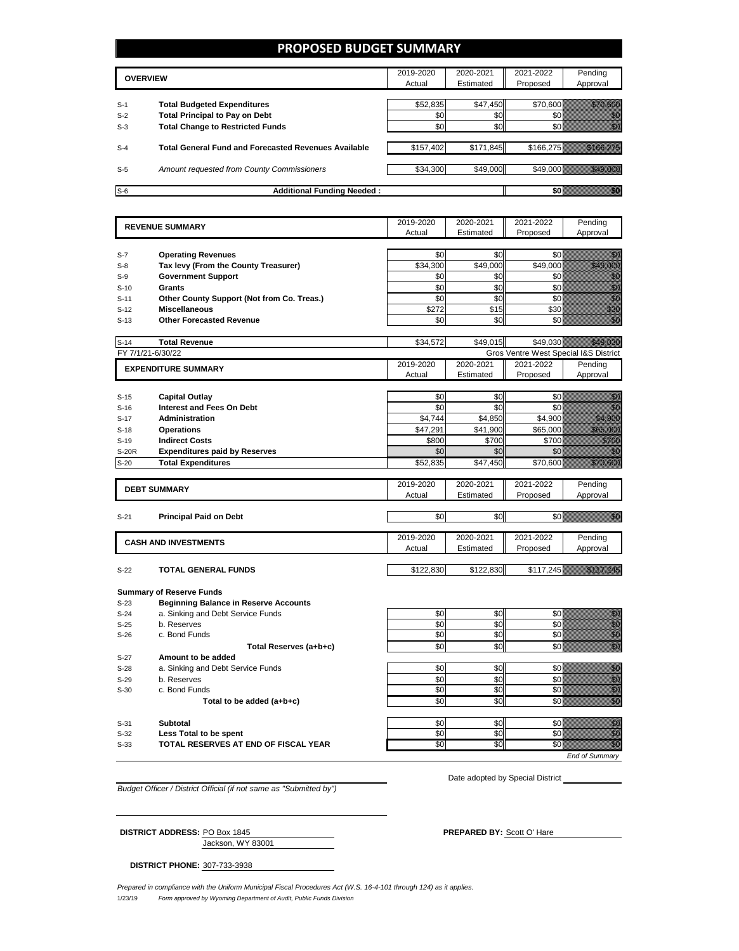### **PROPOSED BUDGET SUMMARY**

|       | <b>OVERVIEW</b>                                             |           | 2020-2021 | 2021-2022 | Pending   |
|-------|-------------------------------------------------------------|-----------|-----------|-----------|-----------|
|       |                                                             | Actual    | Estimated | Proposed  | Approval  |
|       |                                                             |           |           |           |           |
| $S-1$ | <b>Total Budgeted Expenditures</b>                          | \$52,835  | \$47,450  | \$70,600  |           |
| $S-2$ | <b>Total Principal to Pay on Debt</b>                       | \$0       | \$0       |           |           |
| $S-3$ | <b>Total Change to Restricted Funds</b>                     | \$0       | \$0       |           |           |
|       |                                                             |           |           |           |           |
| $S-4$ | <b>Total General Fund and Forecasted Revenues Available</b> | \$157,402 | \$171,845 |           | \$166,275 |
|       |                                                             |           |           |           |           |
| $S-5$ | Amount requested from County Commissioners                  | \$34,300  | \$49,000  |           | \$49,000  |
|       |                                                             |           |           |           |           |
| $S-6$ | <b>Additional Funding Needed:</b>                           |           |           |           |           |

|                   | <b>REVENUE SUMMARY</b>                                    | 2019-2020     | 2020-2021 | 2021-2022                             | Pending                                                                                                                                                                                                                                        |
|-------------------|-----------------------------------------------------------|---------------|-----------|---------------------------------------|------------------------------------------------------------------------------------------------------------------------------------------------------------------------------------------------------------------------------------------------|
|                   |                                                           | Actual        | Estimated | Proposed                              | Approval                                                                                                                                                                                                                                       |
|                   |                                                           |               |           |                                       |                                                                                                                                                                                                                                                |
| $S-7$             | <b>Operating Revenues</b>                                 | \$0           | \$0       | \$0                                   | elli<br>Mille                                                                                                                                                                                                                                  |
| $S-8$             | Tax levy (From the County Treasurer)                      | \$34,300      | \$49,000  | \$49,000                              | a a a an t-ainm                                                                                                                                                                                                                                |
| $S-9$             | <b>Government Support</b>                                 | \$0           | \$0       | \$0                                   |                                                                                                                                                                                                                                                |
| $S-10$            | <b>Grants</b>                                             | \$0           | \$0       | \$0                                   | enna<br>Maria<br>Maria                                                                                                                                                                                                                         |
| $S-11$            | Other County Support (Not from Co. Treas.)                | \$0           | \$0       | \$0                                   | enne<br>Middle                                                                                                                                                                                                                                 |
| $S-12$            | <b>Miscellaneous</b>                                      | \$272         | \$15      | \$30                                  | <b>Maritim</b>                                                                                                                                                                                                                                 |
| $S-13$            | <b>Other Forecasted Revenue</b>                           | \$0           | \$0       | \$0                                   | <b>HANG</b>                                                                                                                                                                                                                                    |
|                   |                                                           |               |           |                                       |                                                                                                                                                                                                                                                |
| $S-14$            | <b>Total Revenue</b>                                      | \$34,572      | \$49,015  | \$49,030                              |                                                                                                                                                                                                                                                |
| FY 7/1/21-6/30/22 |                                                           |               |           | Gros Ventre West Special I&S District |                                                                                                                                                                                                                                                |
|                   | <b>EXPENDITURE SUMMARY</b>                                | 2019-2020     | 2020-2021 | 2021-2022                             | Pending                                                                                                                                                                                                                                        |
|                   |                                                           | Actual        | Estimated | Proposed                              | Approval                                                                                                                                                                                                                                       |
|                   |                                                           | \$0           | \$0       | \$0                                   |                                                                                                                                                                                                                                                |
| $S-15$<br>$S-16$  | <b>Capital Outlay</b><br><b>Interest and Fees On Debt</b> | \$0           | \$0       | \$0                                   | en de la familie de la familie de la familie de la familie de la familie de la familie de la familie de la fa<br>Constitution de la familie de la familie de la familie de la familie de la familie de la familie de la familie<br>na marka ka |
| $S-17$            | Administration                                            | \$4,744       | \$4,850   | \$4,900                               | <u>mana ya kusingan da kata a shekara na kata a kata a kata a kata a kata a kata a kata a kata a kata a kata a k</u>                                                                                                                           |
|                   |                                                           | \$47,291      | \$41,900  | \$65,000                              | <u> Karl II</u>                                                                                                                                                                                                                                |
| $S-18$<br>$S-19$  | <b>Operations</b><br><b>Indirect Costs</b>                | \$800         | \$700     | \$700                                 |                                                                                                                                                                                                                                                |
| <b>S-20R</b>      | <b>Expenditures paid by Reserves</b>                      | \$0           | \$0       | \$0                                   | <u>ti komunisti komunisti komunisti komunisti komunisti komunisti komunisti komunisti komunisti ko</u>                                                                                                                                         |
| $S-20$            | <b>Total Expenditures</b>                                 | \$52,835      | \$47,450  | \$70,600                              | <u> Karlin Sara</u>                                                                                                                                                                                                                            |
|                   |                                                           |               |           |                                       |                                                                                                                                                                                                                                                |
|                   |                                                           | 2019-2020     | 2020-2021 | 2021-2022                             | Pending                                                                                                                                                                                                                                        |
|                   | <b>DEBT SUMMARY</b>                                       | Actual        | Estimated | Proposed                              | Approval                                                                                                                                                                                                                                       |
|                   |                                                           |               |           |                                       |                                                                                                                                                                                                                                                |
| $S-21$            | <b>Principal Paid on Debt</b>                             | \$0           | \$0       |                                       | SO <b>WARRANGER TO BE A STATE OF THE STATE</b>                                                                                                                                                                                                 |
|                   |                                                           |               |           |                                       |                                                                                                                                                                                                                                                |
|                   | <b>CASH AND INVESTMENTS</b>                               | 2019-2020     | 2020-2021 | 2021-2022                             | Pending                                                                                                                                                                                                                                        |
|                   |                                                           | Actual        | Estimated | Proposed                              | Approval                                                                                                                                                                                                                                       |
|                   |                                                           |               |           |                                       |                                                                                                                                                                                                                                                |
| $S-22$            | <b>TOTAL GENERAL FUNDS</b>                                |               |           |                                       |                                                                                                                                                                                                                                                |
|                   |                                                           | \$122,830     | \$122,830 |                                       |                                                                                                                                                                                                                                                |
|                   |                                                           |               |           |                                       |                                                                                                                                                                                                                                                |
|                   | <b>Summary of Reserve Funds</b>                           |               |           |                                       |                                                                                                                                                                                                                                                |
| $S-23$            | <b>Beginning Balance in Reserve Accounts</b>              |               |           |                                       |                                                                                                                                                                                                                                                |
| $S-24$            | a. Sinking and Debt Service Funds                         | \$0           | \$0       | \$0                                   |                                                                                                                                                                                                                                                |
| $S-25$            | b. Reserves                                               | \$0           | \$0       | \$0                                   | en de la familie de la familie de la familie de la familie de la familie de la familie de la familie de la fam<br>Constituit de la familie de la familie de la familie de la familie de la familie de la familie de la familie d               |
| $S-26$            | c. Bond Funds                                             | \$0           | \$0       | \$0                                   | enne<br>Militär                                                                                                                                                                                                                                |
|                   | Total Reserves (a+b+c)                                    | \$0           | \$0       | \$0                                   |                                                                                                                                                                                                                                                |
| $S-27$            | Amount to be added                                        |               |           |                                       |                                                                                                                                                                                                                                                |
| $S-28$            | a. Sinking and Debt Service Funds                         | \$0           | \$0       | \$0                                   |                                                                                                                                                                                                                                                |
| $S-29$            | b. Reserves                                               | \$0           | \$0       | \$0                                   |                                                                                                                                                                                                                                                |
| $S-30$            | c. Bond Funds                                             | $\frac{6}{3}$ | \$0       | \$0                                   | \$117,245<br>na anns an<br>enne<br>Militär<br>en de familie (d. 1970)<br>Geografia<br>enti<br>Gilda<br>enne<br>Stadt                                                                                                                           |
|                   | Total to be added (a+b+c)                                 | \$0           | \$0       | \$0                                   | enen<br>Sida                                                                                                                                                                                                                                   |

S-31 **Subtotal** \$0 \$0 \$0 \$0 S-32 **Less Total to be spent** \$0 \$0 \$0 \$0

S-33 **TOTAL RESERVES AT END OF FISCAL YEAR \$0** \$0 \$0 \$0 \$0 \$0

Date adopted by Special District

*End of Summary*

*Budget Officer / District Official (if not same as "Submitted by")*

Jackson, WY 83001 **DISTRICT ADDRESS:** PO Box 1845 **PREPARED BY:** Scott O' Hare

**DISTRICT PHONE:** 307-733-3938

1/23/19 *Form approved by Wyoming Department of Audit, Public Funds Division Prepared in compliance with the Uniform Municipal Fiscal Procedures Act (W.S. 16-4-101 through 124) as it applies.*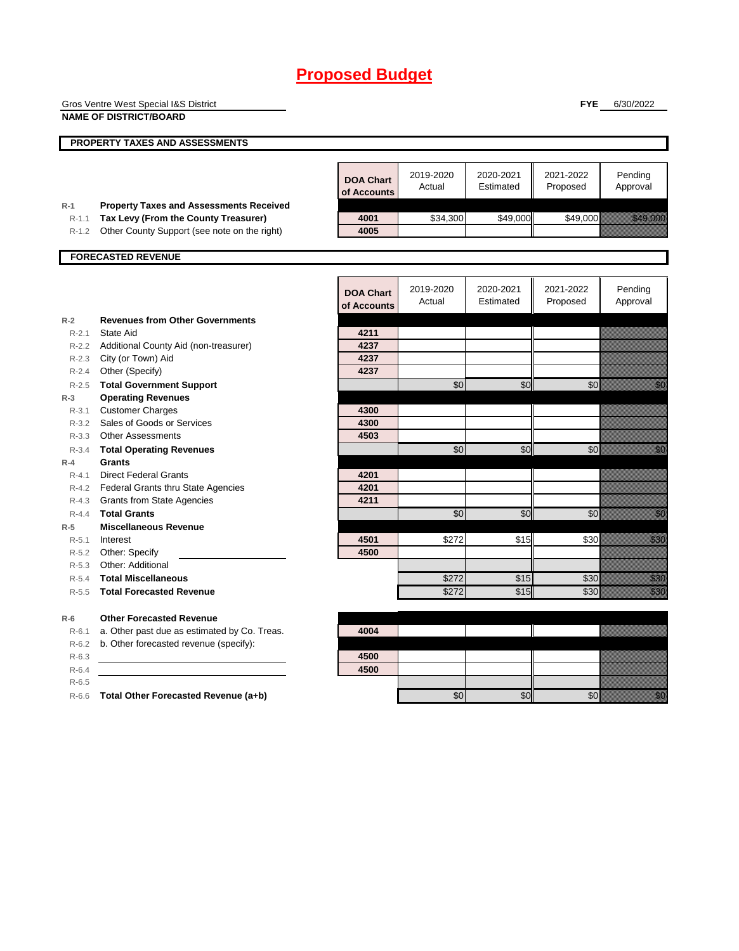|           | Gros Ventre West Special I&S District               |                  |           |           | <b>FYE</b>              | 6/30/2022                                                                                                                                                                                                                       |
|-----------|-----------------------------------------------------|------------------|-----------|-----------|-------------------------|---------------------------------------------------------------------------------------------------------------------------------------------------------------------------------------------------------------------------------|
|           | <b>NAME OF DISTRICT/BOARD</b>                       |                  |           |           |                         |                                                                                                                                                                                                                                 |
|           |                                                     |                  |           |           |                         |                                                                                                                                                                                                                                 |
|           | PROPERTY TAXES AND ASSESSMENTS                      |                  |           |           |                         |                                                                                                                                                                                                                                 |
|           |                                                     |                  |           |           |                         |                                                                                                                                                                                                                                 |
|           |                                                     | <b>DOA Chart</b> | 2019-2020 | 2020-2021 | 2021-2022               | Pending                                                                                                                                                                                                                         |
|           |                                                     | of Accounts      | Actual    | Estimated | Proposed                | Approval                                                                                                                                                                                                                        |
| $R-1$     | <b>Property Taxes and Assessments Received</b>      |                  |           |           |                         |                                                                                                                                                                                                                                 |
| $R-1.1$   | Tax Levy (From the County Treasurer)                | 4001             | \$34,300  | \$49,000  | \$49,000                | <u> Karl Sara</u>                                                                                                                                                                                                               |
| $R-1.2$   | Other County Support (see note on the right)        | 4005             |           |           |                         |                                                                                                                                                                                                                                 |
|           |                                                     |                  |           |           |                         |                                                                                                                                                                                                                                 |
|           | <b>FORECASTED REVENUE</b>                           |                  |           |           |                         |                                                                                                                                                                                                                                 |
|           |                                                     |                  |           |           |                         |                                                                                                                                                                                                                                 |
|           |                                                     | <b>DOA Chart</b> | 2019-2020 | 2020-2021 | 2021-2022               | Pending                                                                                                                                                                                                                         |
|           |                                                     | of Accounts      | Actual    | Estimated | Proposed                | Approval                                                                                                                                                                                                                        |
| $R-2$     | <b>Revenues from Other Governments</b>              |                  |           |           |                         |                                                                                                                                                                                                                                 |
| $R - 2.1$ | State Aid                                           | 4211             |           |           |                         |                                                                                                                                                                                                                                 |
| $R - 2.2$ | Additional County Aid (non-treasurer)               | 4237             |           |           |                         |                                                                                                                                                                                                                                 |
| $R-2.3$   | City (or Town) Aid                                  | 4237             |           |           |                         |                                                                                                                                                                                                                                 |
| $R - 2.4$ | Other (Specify)                                     | 4237             |           |           |                         |                                                                                                                                                                                                                                 |
| $R-2.5$   | <b>Total Government Support</b>                     |                  | \$0       | \$0       | \$0                     | en de la familie de la familie de la familie de la familie de la familie de la familie de la familie de la fam<br>Espainia                                                                                                      |
| $R-3$     | <b>Operating Revenues</b>                           |                  |           |           |                         |                                                                                                                                                                                                                                 |
| $R - 3.1$ | <b>Customer Charges</b>                             | 4300             |           |           |                         |                                                                                                                                                                                                                                 |
| $R - 3.2$ | Sales of Goods or Services                          | 4300             |           |           |                         |                                                                                                                                                                                                                                 |
| $R - 3.3$ | <b>Other Assessments</b>                            | 4503             |           |           |                         |                                                                                                                                                                                                                                 |
| $R - 3.4$ | <b>Total Operating Revenues</b>                     |                  | \$0       | \$0       | \$0                     | en de la facta de la facta de la facta de la facta de la facta de la facta de la facta de la facta de la facta<br>Constituidad                                                                                                  |
| $R - 4$   | <b>Grants</b>                                       |                  |           |           |                         |                                                                                                                                                                                                                                 |
| $R - 4.1$ | <b>Direct Federal Grants</b>                        | 4201             |           |           |                         |                                                                                                                                                                                                                                 |
| $R-4.2$   | Federal Grants thru State Agencies                  | 4201             |           |           |                         |                                                                                                                                                                                                                                 |
| $R-4.3$   | <b>Grants from State Agencies</b>                   | 4211             |           |           |                         |                                                                                                                                                                                                                                 |
| $R - 4.4$ | <b>Total Grants</b><br><b>Miscellaneous Revenue</b> |                  | \$0       | \$0       | \$0                     | en de la familie de la familie de la familie de la familie de la familie de la familie de la familie de la fa<br>Constituit de la familie de la familie de la familie de la familie de la familie de la familie de la familie d |
| $R-5$     | Interest                                            | 4501             | \$272     | \$15      | \$30                    | <u>i ka</u>                                                                                                                                                                                                                     |
| R-5.1     | R-5.2 Other: Specify                                | 4500             |           |           |                         |                                                                                                                                                                                                                                 |
| $R-5.3$   | Other: Additional                                   |                  |           |           |                         |                                                                                                                                                                                                                                 |
| $R-5.4$   | <b>Total Miscellaneous</b>                          |                  | \$272     | \$15      | \$30                    | <u>i sama</u>                                                                                                                                                                                                                   |
| $R-5.5$   | <b>Total Forecasted Revenue</b>                     |                  | \$272     | \$15      | \$30                    | <u>i k</u>                                                                                                                                                                                                                      |
|           |                                                     |                  |           |           |                         |                                                                                                                                                                                                                                 |
| $R-6$     | <b>Other Forecasted Revenue</b>                     |                  |           |           |                         |                                                                                                                                                                                                                                 |
| $R-6.1$   | a. Other past due as estimated by Co. Treas.        | 4004             |           |           |                         |                                                                                                                                                                                                                                 |
| $R-6.2$   | b. Other forecasted revenue (specify):              |                  |           |           |                         |                                                                                                                                                                                                                                 |
| $R-6.3$   |                                                     | 4500             |           |           |                         |                                                                                                                                                                                                                                 |
| $R-6.4$   |                                                     | 4500             |           |           |                         |                                                                                                                                                                                                                                 |
| $R-6.5$   |                                                     |                  |           |           |                         |                                                                                                                                                                                                                                 |
| $R-6.6$   | Total Other Forecasted Revenue (a+b)                |                  | \$0       | \$0       | $\mathcal{S}^{\bullet}$ | en de la familie de la familie de la familie de la familie de la familie de la familie de la familie de la fam<br>Estat de la familie de la familie de la familie de la familie de la familie de la familie de la familie de la |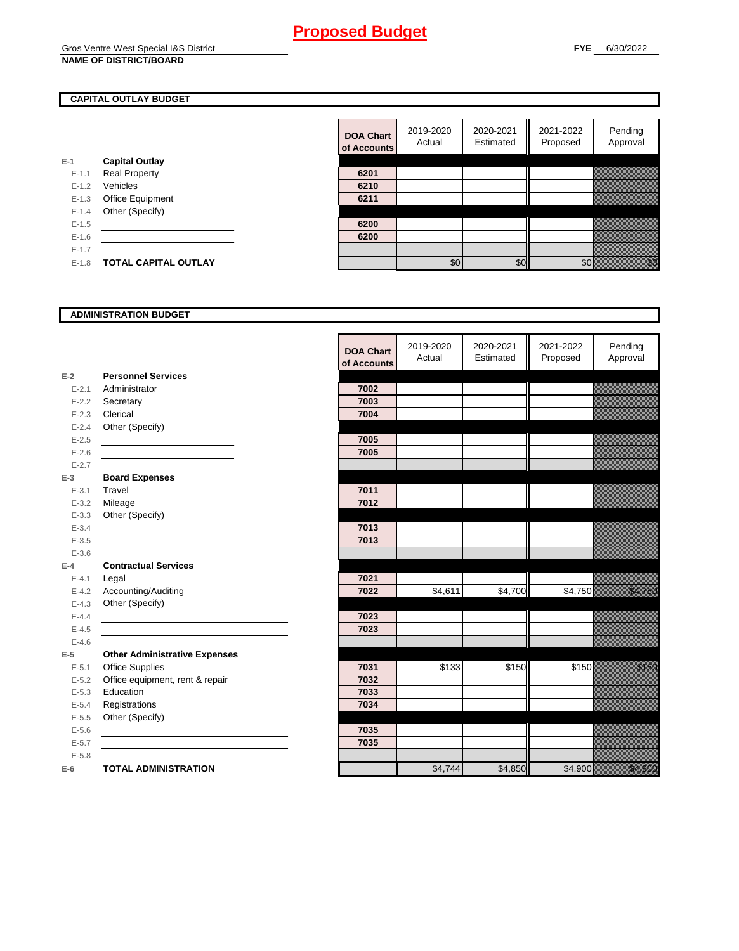### Gros Ventre West Special I&S District

### **NAME OF DISTRICT/BOARD**

#### **CAPITAL OUTLAY BUDGET**

|           |                             | <b>OT ACCOL</b> |
|-----------|-----------------------------|-----------------|
| $E-1$     | <b>Capital Outlay</b>       |                 |
| $E-1.1$   | <b>Real Property</b>        | 6201            |
| $E - 1.2$ | Vehicles                    | 6210            |
| $E-1.3$   | <b>Office Equipment</b>     | 6211            |
| $E - 1.4$ | Other (Specify)             |                 |
| $E-1.5$   |                             | 6200            |
| $E - 1.6$ |                             | 6200            |
| $E - 1.7$ |                             |                 |
| $E-1.8$   | <b>TOTAL CAPITAL OUTLAY</b> |                 |

| <b>DOA Chart</b><br>of Accounts | 2019-2020<br>Actual | 2020-2021<br>Estimated | 2021-2022<br>Proposed | Pending<br>Approval |
|---------------------------------|---------------------|------------------------|-----------------------|---------------------|
|                                 |                     |                        |                       |                     |
| 6201                            |                     |                        |                       |                     |
| 6210                            |                     |                        |                       |                     |
| 6211                            |                     |                        |                       |                     |
|                                 |                     |                        |                       |                     |
| 6200                            |                     |                        |                       |                     |
| 6200                            |                     |                        |                       |                     |
|                                 |                     |                        |                       |                     |
|                                 | \$0                 |                        |                       |                     |

#### **ADMINISTRATION BUDGET**

|           |                                      | υι κιιιυι |
|-----------|--------------------------------------|-----------|
| $E-2$     | <b>Personnel Services</b>            |           |
| $E - 2.1$ | Administrator                        | 7002      |
|           | E-2.2 Secretary                      | 7003      |
| $E - 2.3$ | Clerical                             | 7004      |
| $E - 2.4$ | Other (Specify)                      |           |
| $E - 2.5$ |                                      | 7005      |
| $E - 2.6$ |                                      | 7005      |
| $E - 2.7$ |                                      |           |
| $E-3$     | <b>Board Expenses</b>                |           |
| $E - 3.1$ | Travel                               | 7011      |
| $E - 3.2$ | Mileage                              | 7012      |
| $E - 3.3$ | Other (Specify)                      |           |
| $E - 3.4$ |                                      | 7013      |
| $E - 3.5$ |                                      | 7013      |
| $E - 3.6$ |                                      |           |
| $E-4$     | <b>Contractual Services</b>          |           |
| $E - 4.1$ | Legal                                | 7021      |
|           | E-4.2 Accounting/Auditing            | 7022      |
| $E - 4.3$ | Other (Specify)                      |           |
| $E - 4.4$ |                                      | 7023      |
| $E - 4.5$ |                                      | 7023      |
| $E - 4.6$ |                                      |           |
| $E-5$     | <b>Other Administrative Expenses</b> |           |
| $E - 5.1$ | <b>Office Supplies</b>               | 7031      |
| $E - 5.2$ | Office equipment, rent & repair      | 7032      |
| $E - 5.3$ | Education                            | 7033      |
| $E - 5.4$ | Registrations                        | 7034      |
| $E-5.5$   | Other (Specify)                      |           |
| $E-5.6$   |                                      | 7035      |
| $E - 5.7$ |                                      | 7035      |
| $E - 5.8$ |                                      |           |
| $E-6$     | <b>TOTAL ADMINISTRATION</b>          |           |

|           |                                      |                  | 2019-2020 | 2020-2021 | 2021-2022 | Pending                                                                                                                                                                                                                        |
|-----------|--------------------------------------|------------------|-----------|-----------|-----------|--------------------------------------------------------------------------------------------------------------------------------------------------------------------------------------------------------------------------------|
|           |                                      | <b>DOA Chart</b> | Actual    | Estimated | Proposed  | Approval                                                                                                                                                                                                                       |
|           |                                      | of Accounts      |           |           |           |                                                                                                                                                                                                                                |
| 2         | <b>Personnel Services</b>            |                  |           |           |           |                                                                                                                                                                                                                                |
| $E - 2.1$ | Administrator                        | 7002             |           |           |           |                                                                                                                                                                                                                                |
| $E - 2.2$ | Secretary                            | 7003             |           |           |           |                                                                                                                                                                                                                                |
| $E - 2.3$ | Clerical                             | 7004             |           |           |           |                                                                                                                                                                                                                                |
| $E - 2.4$ | Other (Specify)                      |                  |           |           |           |                                                                                                                                                                                                                                |
| $E - 2.5$ |                                      | 7005             |           |           |           |                                                                                                                                                                                                                                |
| $E - 2.6$ |                                      | 7005             |           |           |           |                                                                                                                                                                                                                                |
| $E - 2.7$ |                                      |                  |           |           |           |                                                                                                                                                                                                                                |
| 3         | <b>Board Expenses</b>                |                  |           |           |           |                                                                                                                                                                                                                                |
| $E - 3.1$ | Travel                               | 7011             |           |           |           |                                                                                                                                                                                                                                |
| $E - 3.2$ | Mileage                              | 7012             |           |           |           |                                                                                                                                                                                                                                |
| $E - 3.3$ | Other (Specify)                      |                  |           |           |           |                                                                                                                                                                                                                                |
| $E - 3.4$ |                                      | 7013             |           |           |           |                                                                                                                                                                                                                                |
| $E - 3.5$ |                                      | 7013             |           |           |           |                                                                                                                                                                                                                                |
| $E - 3.6$ |                                      |                  |           |           |           |                                                                                                                                                                                                                                |
| 4         | <b>Contractual Services</b>          |                  |           |           |           |                                                                                                                                                                                                                                |
| $E - 4.1$ | Legal                                | 7021             |           |           |           |                                                                                                                                                                                                                                |
| $E - 4.2$ | Accounting/Auditing                  | 7022             | \$4,611   | \$4,700   | \$4,750   | <b>Santa Cardinal</b>                                                                                                                                                                                                          |
| $E - 4.3$ | Other (Specify)                      |                  |           |           |           |                                                                                                                                                                                                                                |
| $E - 4.4$ |                                      | 7023             |           |           |           |                                                                                                                                                                                                                                |
| $E - 4.5$ |                                      | 7023             |           |           |           |                                                                                                                                                                                                                                |
| $E - 4.6$ |                                      |                  |           |           |           |                                                                                                                                                                                                                                |
| 5         | <b>Other Administrative Expenses</b> |                  |           |           |           |                                                                                                                                                                                                                                |
| $E - 5.1$ | <b>Office Supplies</b>               | 7031             | \$133     | \$150     | \$150     | <b>Service Service</b>                                                                                                                                                                                                         |
| $E - 5.2$ | Office equipment, rent & repair      | 7032             |           |           |           |                                                                                                                                                                                                                                |
| $E - 5.3$ | Education                            | 7033             |           |           |           |                                                                                                                                                                                                                                |
| $E - 5.4$ | Registrations                        | 7034             |           |           |           |                                                                                                                                                                                                                                |
| $E - 5.5$ | Other (Specify)                      |                  |           |           |           |                                                                                                                                                                                                                                |
| $E - 5.6$ |                                      | 7035             |           |           |           |                                                                                                                                                                                                                                |
| $E - 5.7$ |                                      | 7035             |           |           |           |                                                                                                                                                                                                                                |
| $E - 5.8$ |                                      |                  |           |           |           |                                                                                                                                                                                                                                |
| â         | <b>TOTAL ADMINISTRATION</b>          |                  | \$4,744   | \$4,850   | \$4,900   | e alla secola della conservazione dal conservazione della conservazione dal conservazione della conservazione<br>Conservazione della conservazione dal conservazione dal conservazione dal conservazione dal conservazione dal |
|           |                                      |                  |           |           |           |                                                                                                                                                                                                                                |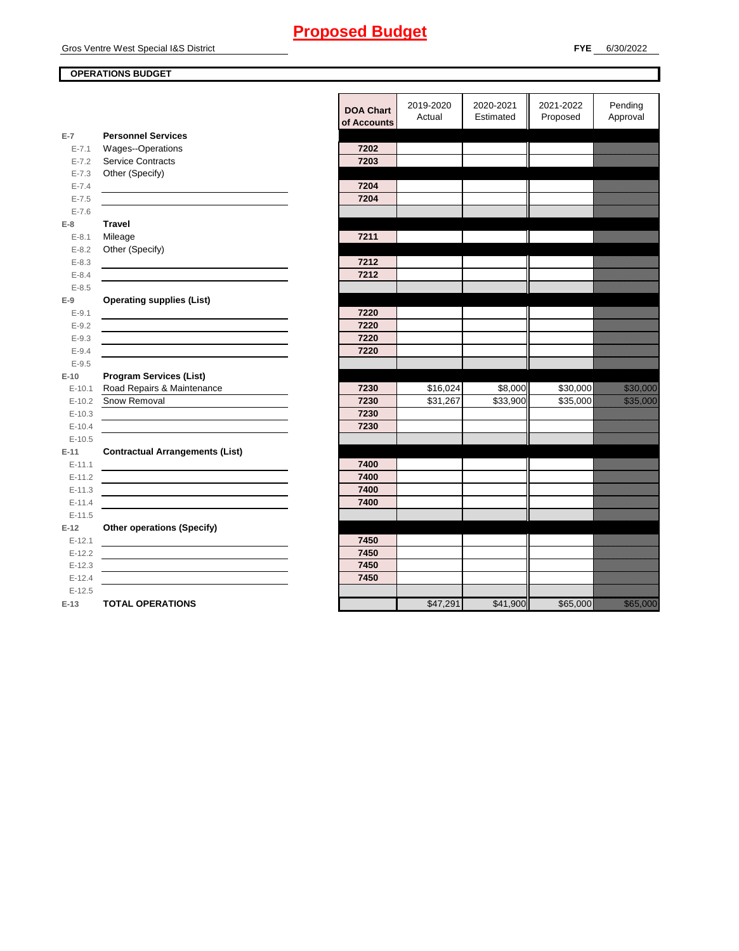#### **OPERATIONS BUDGET**

|                    |                                        | <b>DOA Ch</b> |
|--------------------|----------------------------------------|---------------|
|                    |                                        | of Accou      |
| E-7                | <b>Personnel Services</b>              |               |
| $E - 7.1$          | Wages--Operations                      | 7202          |
| $E - 7.2$          | <b>Service Contracts</b>               | 7203          |
| $E - 7.3$          | Other (Specify)                        |               |
| $E - 7.4$          |                                        | 7204          |
| $E - 7.5$          |                                        | 7204          |
| $E - 7.6$<br>$E-8$ | <b>Travel</b>                          |               |
| $E - 8.1$          | Mileage                                | 7211          |
| $E - 8.2$          | Other (Specify)                        |               |
| $E - 8.3$          |                                        | 7212          |
| $E - 8.4$          |                                        | 7212          |
| $E - 8.5$          |                                        |               |
| $E-9$              | <b>Operating supplies (List)</b>       |               |
| $E-9.1$            |                                        | 7220          |
| $E - 9.2$          |                                        | 7220          |
| $E-9.3$            |                                        | 7220          |
| $E - 9.4$          |                                        | 7220          |
| $E - 9.5$          |                                        |               |
| $E-10$             | <b>Program Services (List)</b>         |               |
|                    | E-10.1 Road Repairs & Maintenance      | 7230          |
| $E-10.2$           | Snow Removal                           | 7230          |
| $E-10.3$           |                                        | 7230          |
| $E-10.4$           |                                        | 7230          |
| $E-10.5$           |                                        |               |
| $E-11$             | <b>Contractual Arrangements (List)</b> |               |
| $E-11.1$           |                                        | 7400          |
| $E-11.2$           |                                        | 7400          |
| $E-11.3$           |                                        | 7400          |
| $E-11.4$           |                                        | 7400          |
| $E-11.5$           |                                        |               |
| $E-12$             | <b>Other operations (Specify)</b>      |               |
| $E-12.1$           |                                        | 7450          |
| $E-12.2$           |                                        | 7450          |
| $E-12.3$           |                                        | 7450          |
| $E-12.4$           |                                        | 7450          |
| $E-12.5$           |                                        |               |
| $E-13$             | <b>TOTAL OPERATIONS</b>                |               |

|           |                                                                                           | <b>DOA Chart</b><br>of Accounts | 2019-2020<br>Actual | 2020-2021<br>Estimated | 2021-2022<br>Proposed | Pending<br>Approval     |
|-----------|-------------------------------------------------------------------------------------------|---------------------------------|---------------------|------------------------|-----------------------|-------------------------|
| $E-7$     | <b>Personnel Services</b>                                                                 |                                 |                     |                        |                       |                         |
| $E - 7.1$ | Wages--Operations                                                                         | 7202                            |                     |                        |                       |                         |
| $E - 7.2$ | <b>Service Contracts</b>                                                                  | 7203                            |                     |                        |                       |                         |
| $E - 7.3$ | Other (Specify)                                                                           |                                 |                     |                        |                       |                         |
| $E - 7.4$ | the control of the control of the control of the control of the control of                | 7204                            |                     |                        |                       |                         |
| $E - 7.5$ |                                                                                           | 7204                            |                     |                        |                       |                         |
| $E - 7.6$ |                                                                                           |                                 |                     |                        |                       |                         |
| $E-8$     | <b>Travel</b>                                                                             |                                 |                     |                        |                       |                         |
| $E-8.1$   | Mileage                                                                                   | 7211                            |                     |                        |                       | <u>ilikuwa mt</u>       |
| $E-8.2$   | Other (Specify)                                                                           |                                 |                     |                        |                       |                         |
| $E-8.3$   |                                                                                           | 7212                            |                     |                        |                       |                         |
| $E - 8.4$ |                                                                                           | 7212                            |                     |                        |                       |                         |
| $E-8.5$   |                                                                                           |                                 |                     |                        |                       |                         |
| E-9       | <b>Operating supplies (List)</b>                                                          |                                 |                     |                        |                       |                         |
| $E-9.1$   |                                                                                           | 7220                            |                     |                        |                       |                         |
| $E-9.2$   |                                                                                           | 7220                            |                     |                        |                       |                         |
| $E-9.3$   |                                                                                           | 7220                            |                     |                        |                       |                         |
| $E - 9.4$ |                                                                                           | 7220                            |                     |                        |                       |                         |
| $E - 9.5$ |                                                                                           |                                 |                     |                        |                       |                         |
| $E-10$    | <b>Program Services (List)</b>                                                            |                                 |                     |                        |                       |                         |
| $E-10.1$  | Road Repairs & Maintenance                                                                | 7230                            | \$16,024            | \$8,000                | \$30,000              | <u> Herman Sta</u>      |
| $E-10.2$  | Snow Removal                                                                              | 7230                            | \$31,267            | \$33,900               | \$35,000              | <u> Elizabeth Compo</u> |
| $E-10.3$  |                                                                                           | 7230                            |                     |                        |                       |                         |
| $E-10.4$  |                                                                                           | 7230                            |                     |                        |                       |                         |
| $E-10.5$  |                                                                                           |                                 |                     |                        |                       |                         |
| E-11      | <b>Contractual Arrangements (List)</b>                                                    |                                 |                     |                        |                       |                         |
| $E-11.1$  |                                                                                           | 7400                            |                     |                        |                       |                         |
| $E-11.2$  |                                                                                           | 7400                            |                     |                        |                       |                         |
| $E-11.3$  | the control of the control of the control of the control of the control of the control of | 7400                            |                     |                        |                       |                         |
| $E-11.4$  | <u> 1989 - Johann Barbara, martxa alemaniar arg</u>                                       | 7400                            |                     |                        |                       |                         |
| $E-11.5$  |                                                                                           |                                 |                     |                        |                       |                         |
| $E-12$    | <b>Other operations (Specify)</b>                                                         |                                 |                     |                        |                       |                         |
| $E-12.1$  |                                                                                           | 7450                            |                     |                        |                       |                         |
| $E-12.2$  |                                                                                           | 7450                            |                     |                        |                       |                         |
| $E-12.3$  |                                                                                           | 7450                            |                     |                        |                       |                         |
| $E-12.4$  |                                                                                           | 7450                            |                     |                        |                       |                         |
| $E-12.5$  |                                                                                           |                                 |                     |                        |                       |                         |
| E-13      | <b>TOTAL OPERATIONS</b>                                                                   |                                 | \$47,291            | \$41,900               | \$65,000              | <u> Hermann</u>         |
|           |                                                                                           |                                 |                     |                        |                       |                         |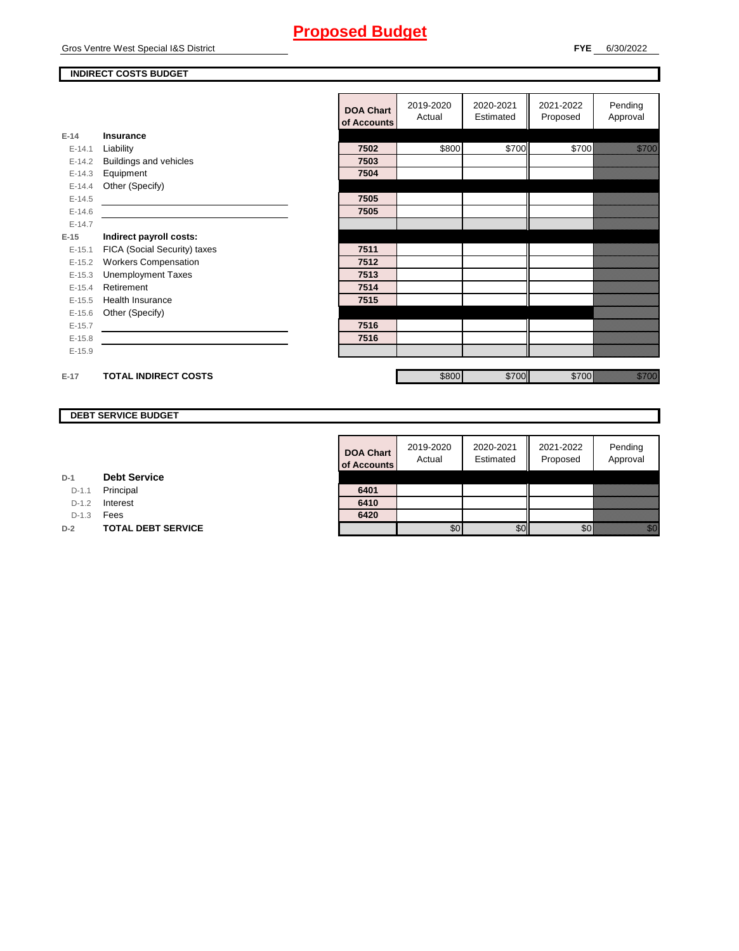#### **INDIRECT COSTS BUDGET**

|          |                                                                                                                       | <b>DOA Chart</b> | 2019-2020<br>Actual | 2020-2021<br>Estimated | 2021-2022<br>Proposed | Pending<br>Approval |
|----------|-----------------------------------------------------------------------------------------------------------------------|------------------|---------------------|------------------------|-----------------------|---------------------|
|          |                                                                                                                       | of Accounts      |                     |                        |                       |                     |
| $E-14$   | <b>Insurance</b>                                                                                                      |                  |                     |                        |                       |                     |
| $E-14.1$ | Liability                                                                                                             | 7502             | \$800               | \$700                  | \$700                 | <b>Santa Barat</b>  |
| $E-14.2$ | <b>Buildings and vehicles</b>                                                                                         | 7503             |                     |                        |                       |                     |
| $E-14.3$ | Equipment                                                                                                             | 7504             |                     |                        |                       |                     |
| $E-14.4$ | Other (Specify)                                                                                                       |                  |                     |                        |                       |                     |
| $E-14.5$ | <u> 1989 - Jan Sterling Sterling Sterling Sterling Sterling Sterling Sterling Sterling Sterling Sterling Sterling</u> | 7505             |                     |                        |                       |                     |
| $E-14.6$ |                                                                                                                       | 7505             |                     |                        |                       |                     |
| $E-14.7$ |                                                                                                                       |                  |                     |                        |                       |                     |
| $E-15$   | Indirect payroll costs:                                                                                               |                  |                     |                        |                       |                     |
| $E-15.1$ | FICA (Social Security) taxes                                                                                          | 7511             |                     |                        |                       |                     |
| $E-15.2$ | <b>Workers Compensation</b>                                                                                           | 7512             |                     |                        |                       |                     |
| $E-15.3$ | <b>Unemployment Taxes</b>                                                                                             | 7513             |                     |                        |                       |                     |
| $E-15.4$ | Retirement                                                                                                            | 7514             |                     |                        |                       |                     |
| $E-15.5$ | Health Insurance                                                                                                      | 7515             |                     |                        |                       |                     |
| $E-15.6$ | Other (Specify)                                                                                                       |                  |                     |                        |                       |                     |
| $E-15.7$ |                                                                                                                       | 7516             |                     |                        |                       |                     |
| $E-15.8$ |                                                                                                                       | 7516             |                     |                        |                       |                     |
| $E-15.9$ |                                                                                                                       |                  |                     |                        |                       |                     |
|          |                                                                                                                       |                  |                     |                        |                       |                     |
| $E-17$   | <b>TOTAL INDIRECT COSTS</b>                                                                                           |                  | \$800               | \$700                  | \$700                 | <b>Maritim</b>      |
|          |                                                                                                                       |                  |                     |                        |                       |                     |

#### **DEBT SERVICE BUDGET**

| <b>DOA Chart</b><br>of Accounts | 2019-2020<br>Actual | 2020-2021<br>Estimated | 2021-2022<br>Proposed | Pending<br>Approval |
|---------------------------------|---------------------|------------------------|-----------------------|---------------------|
| 6401                            |                     |                        |                       |                     |
| 6410                            |                     |                        |                       |                     |
| 6420                            |                     |                        |                       |                     |
|                                 |                     |                        |                       |                     |

D-1.1 Principal

D-1.2 **Interest** D-1.3 **Fees** 

**D-1**

**D-2 TOTAL DEBT SERVICE** 

**Debt Service**